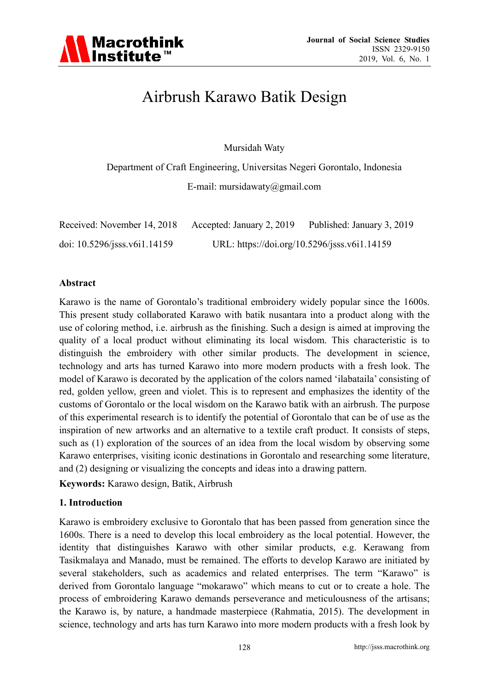

# Airbrush Karawo Batik Design

Mursidah Waty

Department of Craft Engineering, Universitas Negeri Gorontalo, Indonesia E-mail: mursidawaty@gmail.com

| Received: November 14, 2018  | Accepted: January 2, 2019 | Published: January 3, 2019                   |
|------------------------------|---------------------------|----------------------------------------------|
| doi: 10.5296/jsss.v6i1.14159 |                           | URL: https://doi.org/10.5296/jsss.v6i1.14159 |

#### **Abstract**

Karawo is the name of Gorontalo's traditional embroidery widely popular since the 1600s. This present study collaborated Karawo with batik nusantara into a product along with the use of coloring method, i.e. airbrush as the finishing. Such a design is aimed at improving the quality of a local product without eliminating its local wisdom. This characteristic is to distinguish the embroidery with other similar products. The development in science, technology and arts has turned Karawo into more modern products with a fresh look. The model of Karawo is decorated by the application of the colors named 'ilabataila' consisting of red, golden yellow, green and violet. This is to represent and emphasizes the identity of the customs of Gorontalo or the local wisdom on the Karawo batik with an airbrush. The purpose of this experimental research is to identify the potential of Gorontalo that can be of use as the inspiration of new artworks and an alternative to a textile craft product. It consists of steps, such as (1) exploration of the sources of an idea from the local wisdom by observing some Karawo enterprises, visiting iconic destinations in Gorontalo and researching some literature, and (2) designing or visualizing the concepts and ideas into a drawing pattern.

**Keywords:** Karawo design, Batik, Airbrush

# **1. Introduction**

Karawo is embroidery exclusive to Gorontalo that has been passed from generation since the 1600s. There is a need to develop this local embroidery as the local potential. However, the identity that distinguishes Karawo with other similar products, e.g. Kerawang from Tasikmalaya and Manado, must be remained. The efforts to develop Karawo are initiated by several stakeholders, such as academics and related enterprises. The term "Karawo" is derived from Gorontalo language "mokarawo" which means to cut or to create a hole. The process of embroidering Karawo demands perseverance and meticulousness of the artisans; the Karawo is, by nature, a handmade masterpiece (Rahmatia, 2015). The development in science, technology and arts has turn Karawo into more modern products with a fresh look by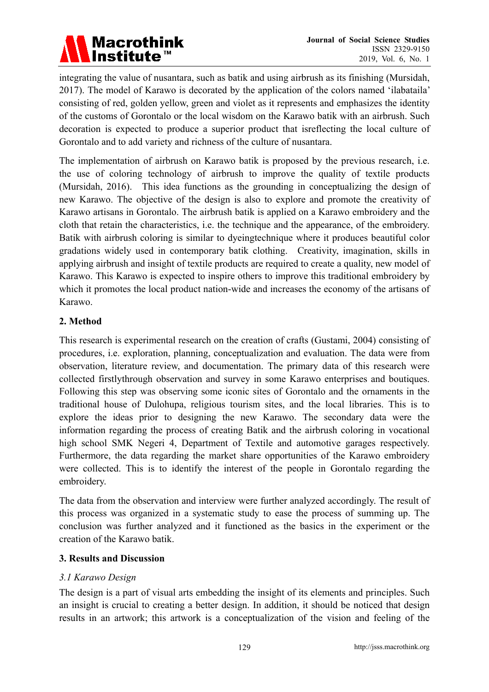

integrating the value of nusantara, such as batik and using airbrush as its finishing (Mursidah, 2017). The model of Karawo is decorated by the application of the colors named 'ilabataila' consisting of red, golden yellow, green and violet as it represents and emphasizes the identity of the customs of Gorontalo or the local wisdom on the Karawo batik with an airbrush. Such decoration is expected to produce a superior product that isreflecting the local culture of Gorontalo and to add variety and richness of the culture of nusantara.

The implementation of airbrush on Karawo batik is proposed by the previous research, i.e. the use of coloring technology of airbrush to improve the quality of textile products (Mursidah, 2016). This idea functions as the grounding in conceptualizing the design of new Karawo. The objective of the design is also to explore and promote the creativity of Karawo artisans in Gorontalo. The airbrush batik is applied on a Karawo embroidery and the cloth that retain the characteristics, i.e. the technique and the appearance, of the embroidery. Batik with airbrush coloring is similar to dyeingtechnique where it produces beautiful color gradations widely used in contemporary batik clothing. Creativity, imagination, skills in applying airbrush and insight of textile products are required to create a quality, new model of Karawo. This Karawo is expected to inspire others to improve this traditional embroidery by which it promotes the local product nation-wide and increases the economy of the artisans of Karawo.

# **2. Method**

This research is experimental research on the creation of crafts (Gustami, 2004) consisting of procedures, i.e. exploration, planning, conceptualization and evaluation. The data were from observation, literature review, and documentation. The primary data of this research were collected firstlythrough observation and survey in some Karawo enterprises and boutiques. Following this step was observing some iconic sites of Gorontalo and the ornaments in the traditional house of Dulohupa, religious tourism sites, and the local libraries. This is to explore the ideas prior to designing the new Karawo. The secondary data were the information regarding the process of creating Batik and the airbrush coloring in vocational high school SMK Negeri 4, Department of Textile and automotive garages respectively. Furthermore, the data regarding the market share opportunities of the Karawo embroidery were collected. This is to identify the interest of the people in Gorontalo regarding the embroidery.

The data from the observation and interview were further analyzed accordingly. The result of this process was organized in a systematic study to ease the process of summing up. The conclusion was further analyzed and it functioned as the basics in the experiment or the creation of the Karawo batik.

# **3. Results and Discussion**

# *3.1 Karawo Design*

The design is a part of visual arts embedding the insight of its elements and principles. Such an insight is crucial to creating a better design. In addition, it should be noticed that design results in an artwork; this artwork is a conceptualization of the vision and feeling of the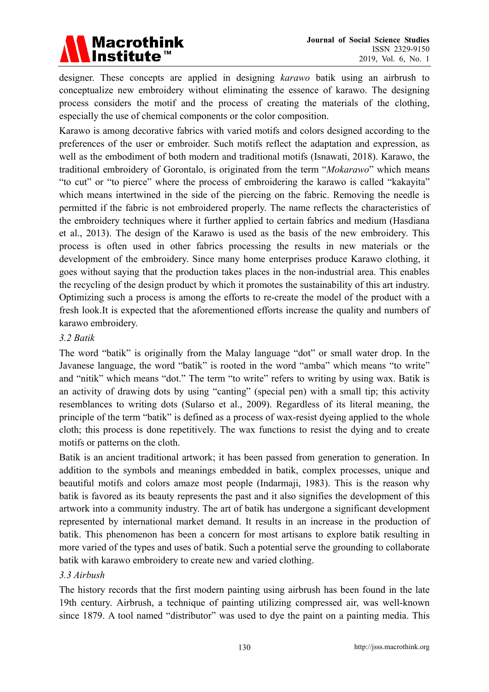designer. These concepts are applied in designing *karawo* batik using an airbrush to conceptualize new embroidery without eliminating the essence of karawo. The designing process considers the motif and the process of creating the materials of the clothing, especially the use of chemical components or the color composition.

Karawo is among decorative fabrics with varied motifs and colors designed according to the preferences of the user or embroider. Such motifs reflect the adaptation and expression, as well as the embodiment of both modern and traditional motifs (Isnawati, 2018). Karawo, the traditional embroidery of Gorontalo, is originated from the term "*Mokarawo*" which means "to cut" or "to pierce" where the process of embroidering the karawo is called "kakayita" which means intertwined in the side of the piercing on the fabric. Removing the needle is permitted if the fabric is not embroidered properly. The name reflects the characteristics of the embroidery techniques where it further applied to certain fabrics and medium (Hasdiana et al., 2013). The design of the Karawo is used as the basis of the new embroidery. This process is often used in other fabrics processing the results in new materials or the development of the embroidery. Since many home enterprises produce Karawo clothing, it goes without saying that the production takes places in the non-industrial area. This enables the recycling of the design product by which it promotes the sustainability of this art industry. Optimizing such a process is among the efforts to re-create the model of the product with a fresh look.It is expected that the aforementioned efforts increase the quality and numbers of karawo embroidery.

# *3.2 Batik*

The word "batik" is originally from the Malay language "dot" or small water drop. In the Javanese language, the word "batik" is rooted in the word "amba" which means "to write" and "nitik" which means "dot." The term "to write" refers to writing by using wax. Batik is an activity of drawing dots by using "canting" (special pen) with a small tip; this activity resemblances to writing dots (Sularso et al., 2009). Regardless of its literal meaning, the principle of the term "batik" is defined as a process of wax-resist dyeing applied to the whole cloth; this process is done repetitively. The wax functions to resist the dying and to create motifs or patterns on the cloth.

Batik is an ancient traditional artwork; it has been passed from generation to generation. In addition to the symbols and meanings embedded in batik, complex processes, unique and beautiful motifs and colors amaze most people (Indarmaji, 1983). This is the reason why batik is favored as its beauty represents the past and it also signifies the development of this artwork into a community industry. The art of batik has undergone a significant development represented by international market demand. It results in an increase in the production of batik. This phenomenon has been a concern for most artisans to explore batik resulting in more varied of the types and uses of batik. Such a potential serve the grounding to collaborate batik with karawo embroidery to create new and varied clothing.

# *3.3 Airbush*

The history records that the first modern painting using airbrush has been found in the late 19th century. Airbrush, a technique of painting utilizing compressed air, was well-known since 1879. A tool named "distributor" was used to dye the paint on a painting media. This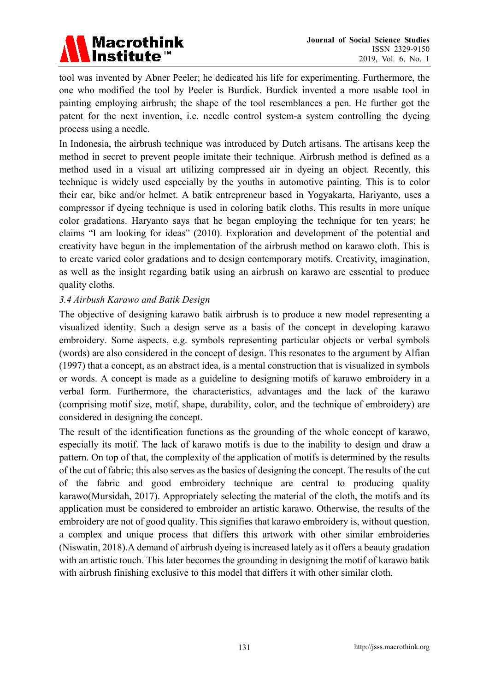

tool was invented by Abner Peeler; he dedicated his life for experimenting. Furthermore, the one who modified the tool by Peeler is Burdick. Burdick invented a more usable tool in painting employing airbrush; the shape of the tool resemblances a pen. He further got the patent for the next invention, i.e. needle control system-a system controlling the dyeing process using a needle.

In Indonesia, the airbrush technique was introduced by Dutch artisans. The artisans keep the method in secret to prevent people imitate their technique. Airbrush method is defined as a method used in a visual art utilizing compressed air in dyeing an object. Recently, this technique is widely used especially by the youths in automotive painting. This is to color their car, bike and/or helmet. A batik entrepreneur based in Yogyakarta, Hariyanto, uses a compressor if dyeing technique is used in coloring batik cloths. This results in more unique color gradations. Haryanto says that he began employing the technique for ten years; he claims "I am looking for ideas" (2010). Exploration and development of the potential and creativity have begun in the implementation of the airbrush method on karawo cloth. This is to create varied color gradations and to design contemporary motifs. Creativity, imagination, as well as the insight regarding batik using an airbrush on karawo are essential to produce quality cloths.

# *3.4 Airbush Karawo and Batik Design*

The objective of designing karawo batik airbrush is to produce a new model representing a visualized identity. Such a design serve as a basis of the concept in developing karawo embroidery. Some aspects, e.g. symbols representing particular objects or verbal symbols (words) are also considered in the concept of design. This resonates to the argument by Alfian (1997) that a concept, as an abstract idea, is a mental construction that is visualized in symbols or words. A concept is made as a guideline to designing motifs of karawo embroidery in a verbal form. Furthermore, the characteristics, advantages and the lack of the karawo (comprising motif size, motif, shape, durability, color, and the technique of embroidery) are considered in designing the concept.

The result of the identification functions as the grounding of the whole concept of karawo, especially its motif. The lack of karawo motifs is due to the inability to design and draw a pattern. On top of that, the complexity of the application of motifs is determined by the results of the cut of fabric; this also serves as the basics of designing the concept. The results of the cut of the fabric and good embroidery technique are central to producing quality karawo(Mursidah, 2017). Appropriately selecting the material of the cloth, the motifs and its application must be considered to embroider an artistic karawo. Otherwise, the results of the embroidery are not of good quality. This signifies that karawo embroidery is, without question, a complex and unique process that differs this artwork with other similar embroideries (Niswatin, 2018).A demand of airbrush dyeing is increased lately as it offers a beauty gradation with an artistic touch. This later becomes the grounding in designing the motif of karawo batik with airbrush finishing exclusive to this model that differs it with other similar cloth.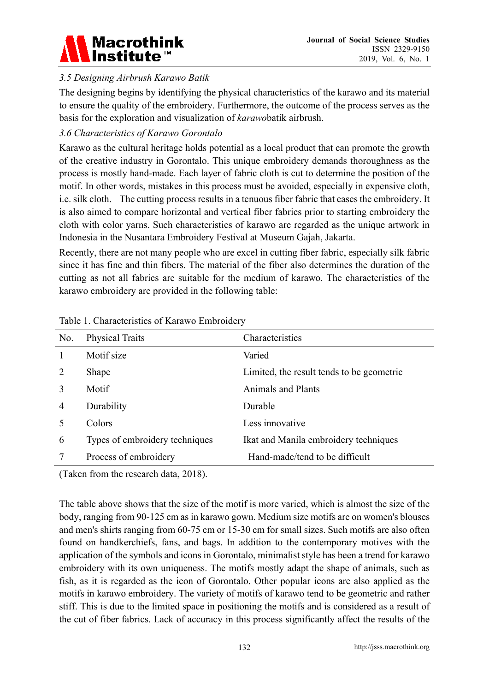

# *3.5 Designing Airbrush Karawo Batik*

The designing begins by identifying the physical characteristics of the karawo and its material to ensure the quality of the embroidery. Furthermore, the outcome of the process serves as the basis for the exploration and visualization of *karawo*batik airbrush.

# *3.6 Characteristics of Karawo Gorontalo*

Karawo as the cultural heritage holds potential as a local product that can promote the growth of the creative industry in Gorontalo. This unique embroidery demands thoroughness as the process is mostly hand-made. Each layer of fabric cloth is cut to determine the position of the motif. In other words, mistakes in this process must be avoided, especially in expensive cloth, i.e. silk cloth. The cutting process results in a tenuous fiber fabric that eases the embroidery. It is also aimed to compare horizontal and vertical fiber fabrics prior to starting embroidery the cloth with color yarns. Such characteristics of karawo are regarded as the unique artwork in Indonesia in the Nusantara Embroidery Festival at Museum Gajah, Jakarta.

Recently, there are not many people who are excel in cutting fiber fabric, especially silk fabric since it has fine and thin fibers. The material of the fiber also determines the duration of the cutting as not all fabrics are suitable for the medium of karawo. The characteristics of the karawo embroidery are provided in the following table:

| No.            | <b>Physical Traits</b>         | Characteristics                           |
|----------------|--------------------------------|-------------------------------------------|
|                | Motif size                     | Varied                                    |
| $\overline{2}$ | Shape                          | Limited, the result tends to be geometric |
| $\mathcal{R}$  | Motif                          | <b>Animals and Plants</b>                 |
| $\overline{4}$ | Durability                     | Durable                                   |
|                | Colors                         | Less innovative                           |
| 6              | Types of embroidery techniques | Ikat and Manila embroidery techniques     |
|                | Process of embroidery          | Hand-made/tend to be difficult            |

|  |  | Table 1. Characteristics of Karawo Embroidery |
|--|--|-----------------------------------------------|
|  |  |                                               |

(Taken from the research data, 2018).

The table above shows that the size of the motif is more varied, which is almost the size of the body, ranging from 90-125 cm as in karawo gown. Medium size motifs are on women's blouses and men's shirts ranging from 60-75 cm or 15-30 cm for small sizes. Such motifs are also often found on handkerchiefs, fans, and bags. In addition to the contemporary motives with the application of the symbols and icons in Gorontalo, minimalist style has been a trend for karawo embroidery with its own uniqueness. The motifs mostly adapt the shape of animals, such as fish, as it is regarded as the icon of Gorontalo. Other popular icons are also applied as the motifs in karawo embroidery. The variety of motifs of karawo tend to be geometric and rather stiff. This is due to the limited space in positioning the motifs and is considered as a result of the cut of fiber fabrics. Lack of accuracy in this process significantly affect the results of the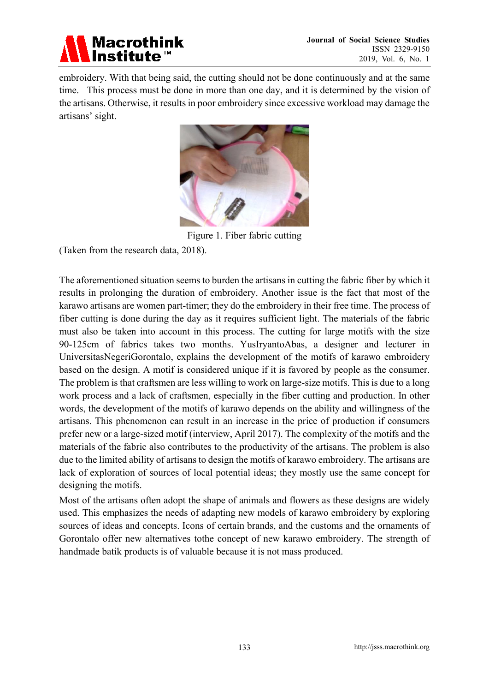

embroidery. With that being said, the cutting should not be done continuously and at the same time. This process must be done in more than one day, and it is determined by the vision of the artisans. Otherwise, it results in poor embroidery since excessive workload may damage the artisans' sight.



Figure 1. Fiber fabric cutting

(Taken from the research data, 2018).

The aforementioned situation seems to burden the artisans in cutting the fabric fiber by which it results in prolonging the duration of embroidery. Another issue is the fact that most of the karawo artisans are women part-timer; they do the embroidery in their free time. The process of fiber cutting is done during the day as it requires sufficient light. The materials of the fabric must also be taken into account in this process. The cutting for large motifs with the size 90-125cm of fabrics takes two months. YusIryantoAbas, a designer and lecturer in UniversitasNegeriGorontalo, explains the development of the motifs of karawo embroidery based on the design. A motif is considered unique if it is favored by people as the consumer. The problem is that craftsmen are less willing to work on large-size motifs. This is due to a long work process and a lack of craftsmen, especially in the fiber cutting and production. In other words, the development of the motifs of karawo depends on the ability and willingness of the artisans. This phenomenon can result in an increase in the price of production if consumers prefer new or a large-sized motif (interview, April 2017). The complexity of the motifs and the materials of the fabric also contributes to the productivity of the artisans. The problem is also due to the limited ability of artisans to design the motifs of karawo embroidery. The artisans are lack of exploration of sources of local potential ideas; they mostly use the same concept for designing the motifs.

Most of the artisans often adopt the shape of animals and flowers as these designs are widely used. This emphasizes the needs of adapting new models of karawo embroidery by exploring sources of ideas and concepts. Icons of certain brands, and the customs and the ornaments of Gorontalo offer new alternatives tothe concept of new karawo embroidery. The strength of handmade batik products is of valuable because it is not mass produced.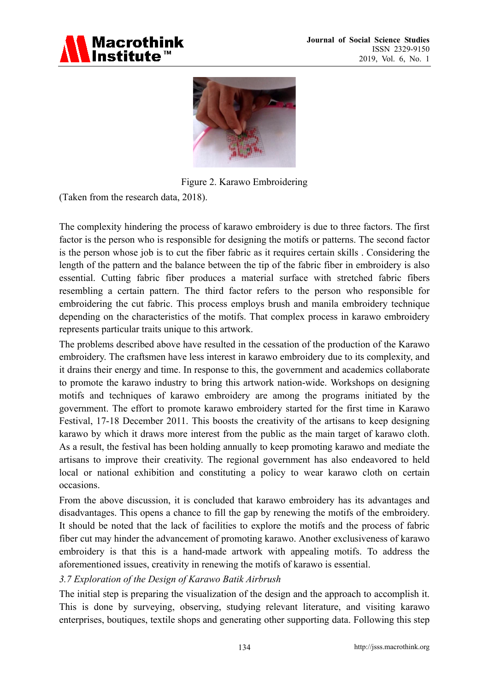



Figure 2. Karawo Embroidering

(Taken from the research data, 2018).

The complexity hindering the process of karawo embroidery is due to three factors. The first factor is the person who is responsible for designing the motifs or patterns. The second factor is the person whose job is to cut the fiber fabric as it requires certain skills . Considering the length of the pattern and the balance between the tip of the fabric fiber in embroidery is also essential. Cutting fabric fiber produces a material surface with stretched fabric fibers resembling a certain pattern. The third factor refers to the person who responsible for embroidering the cut fabric. This process employs brush and manila embroidery technique depending on the characteristics of the motifs. That complex process in karawo embroidery represents particular traits unique to this artwork.

The problems described above have resulted in the cessation of the production of the Karawo embroidery. The craftsmen have less interest in karawo embroidery due to its complexity, and it drains their energy and time. In response to this, the government and academics collaborate to promote the karawo industry to bring this artwork nation-wide. Workshops on designing motifs and techniques of karawo embroidery are among the programs initiated by the government. The effort to promote karawo embroidery started for the first time in Karawo Festival, 17-18 December 2011. This boosts the creativity of the artisans to keep designing karawo by which it draws more interest from the public as the main target of karawo cloth. As a result, the festival has been holding annually to keep promoting karawo and mediate the artisans to improve their creativity. The regional government has also endeavored to held local or national exhibition and constituting a policy to wear karawo cloth on certain occasions.

From the above discussion, it is concluded that karawo embroidery has its advantages and disadvantages. This opens a chance to fill the gap by renewing the motifs of the embroidery. It should be noted that the lack of facilities to explore the motifs and the process of fabric fiber cut may hinder the advancement of promoting karawo. Another exclusiveness of karawo embroidery is that this is a hand-made artwork with appealing motifs. To address the aforementioned issues, creativity in renewing the motifs of karawo is essential.

# *3.7 Exploration of the Design of Karawo Batik Airbrush*

The initial step is preparing the visualization of the design and the approach to accomplish it. This is done by surveying, observing, studying relevant literature, and visiting karawo enterprises, boutiques, textile shops and generating other supporting data. Following this step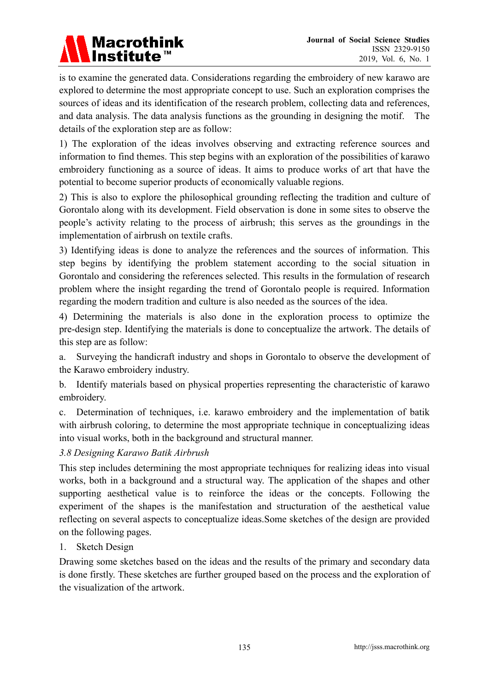# Macrothink<br>Institute™

is to examine the generated data. Considerations regarding the embroidery of new karawo are explored to determine the most appropriate concept to use. Such an exploration comprises the sources of ideas and its identification of the research problem, collecting data and references, and data analysis. The data analysis functions as the grounding in designing the motif. The details of the exploration step are as follow:

1) The exploration of the ideas involves observing and extracting reference sources and information to find themes. This step begins with an exploration of the possibilities of karawo embroidery functioning as a source of ideas. It aims to produce works of art that have the potential to become superior products of economically valuable regions.

2) This is also to explore the philosophical grounding reflecting the tradition and culture of Gorontalo along with its development. Field observation is done in some sites to observe the people's activity relating to the process of airbrush; this serves as the groundings in the implementation of airbrush on textile crafts.

3) Identifying ideas is done to analyze the references and the sources of information. This step begins by identifying the problem statement according to the social situation in Gorontalo and considering the references selected. This results in the formulation of research problem where the insight regarding the trend of Gorontalo people is required. Information regarding the modern tradition and culture is also needed as the sources of the idea.

4) Determining the materials is also done in the exploration process to optimize the pre-design step. Identifying the materials is done to conceptualize the artwork. The details of this step are as follow:

a. Surveying the handicraft industry and shops in Gorontalo to observe the development of the Karawo embroidery industry.

b. Identify materials based on physical properties representing the characteristic of karawo embroidery.

c. Determination of techniques, i.e. karawo embroidery and the implementation of batik with airbrush coloring, to determine the most appropriate technique in conceptualizing ideas into visual works, both in the background and structural manner.

*3.8 Designing Karawo Batik Airbrush* 

This step includes determining the most appropriate techniques for realizing ideas into visual works, both in a background and a structural way. The application of the shapes and other supporting aesthetical value is to reinforce the ideas or the concepts. Following the experiment of the shapes is the manifestation and structuration of the aesthetical value reflecting on several aspects to conceptualize ideas.Some sketches of the design are provided on the following pages.

# 1. Sketch Design

Drawing some sketches based on the ideas and the results of the primary and secondary data is done firstly. These sketches are further grouped based on the process and the exploration of the visualization of the artwork.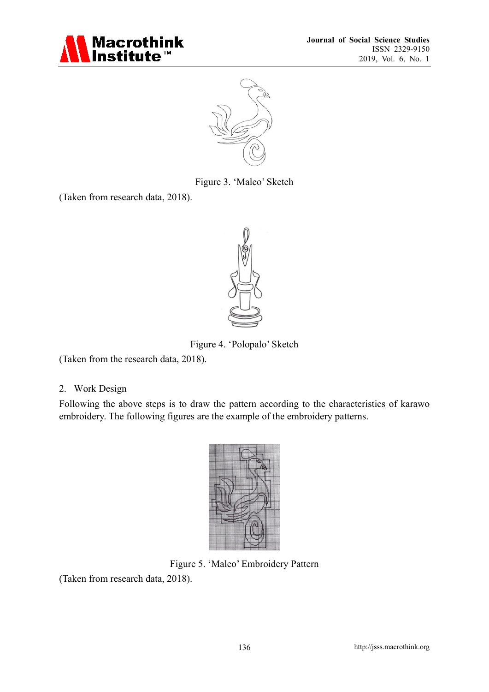



Figure 3. 'Maleo' Sketch

(Taken from research data, 2018).



Figure 4. 'Polopalo' Sketch

(Taken from the research data, 2018).

# 2. Work Design

Following the above steps is to draw the pattern according to the characteristics of karawo embroidery. The following figures are the example of the embroidery patterns.



Figure 5. 'Maleo' Embroidery Pattern

(Taken from research data, 2018).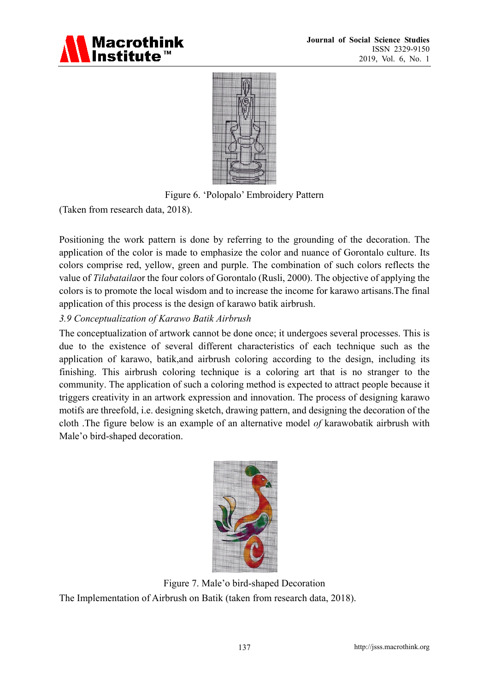



Figure 6. 'Polopalo' Embroidery Pattern

(Taken from research data, 2018).

Positioning the work pattern is done by referring to the grounding of the decoration. The application of the color is made to emphasize the color and nuance of Gorontalo culture. Its colors comprise red, yellow, green and purple. The combination of such colors reflects the value of *Tilabataila*or the four colors of Gorontalo (Rusli, 2000). The objective of applying the colors is to promote the local wisdom and to increase the income for karawo artisans.The final application of this process is the design of karawo batik airbrush.

# *3.9 Conceptualization of Karawo Batik Airbrush*

The conceptualization of artwork cannot be done once; it undergoes several processes. This is due to the existence of several different characteristics of each technique such as the application of karawo, batik,and airbrush coloring according to the design, including its finishing. This airbrush coloring technique is a coloring art that is no stranger to the community. The application of such a coloring method is expected to attract people because it triggers creativity in an artwork expression and innovation. The process of designing karawo motifs are threefold, i.e. designing sketch, drawing pattern, and designing the decoration of the cloth .The figure below is an example of an alternative model *of* karawobatik airbrush with Male'o bird-shaped decoration.



Figure 7. Male'o bird-shaped Decoration The Implementation of Airbrush on Batik (taken from research data, 2018).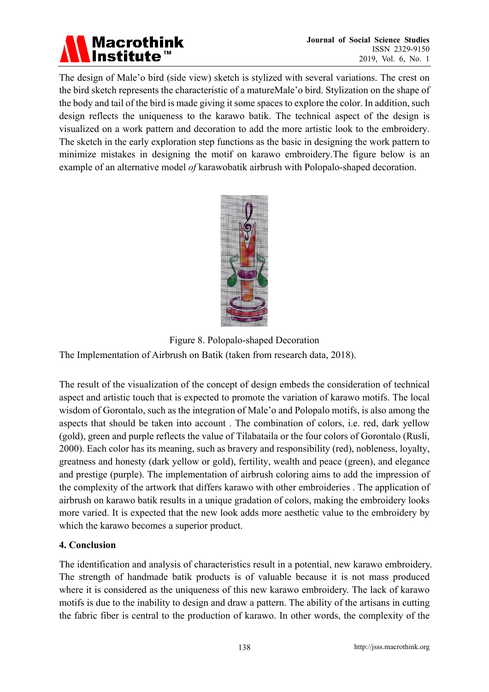

The design of Male'o bird (side view) sketch is stylized with several variations. The crest on the bird sketch represents the characteristic of a matureMale'o bird. Stylization on the shape of the body and tail of the bird is made giving it some spaces to explore the color. In addition, such design reflects the uniqueness to the karawo batik. The technical aspect of the design is visualized on a work pattern and decoration to add the more artistic look to the embroidery. The sketch in the early exploration step functions as the basic in designing the work pattern to minimize mistakes in designing the motif on karawo embroidery.The figure below is an example of an alternative model *of* karawobatik airbrush with Polopalo-shaped decoration.



Figure 8. Polopalo-shaped Decoration The Implementation of Airbrush on Batik (taken from research data, 2018).

The result of the visualization of the concept of design embeds the consideration of technical aspect and artistic touch that is expected to promote the variation of karawo motifs. The local wisdom of Gorontalo, such as the integration of Male'o and Polopalo motifs, is also among the aspects that should be taken into account . The combination of colors, i.e. red, dark yellow (gold), green and purple reflects the value of Tilabataila or the four colors of Gorontalo (Rusli, 2000). Each color has its meaning, such as bravery and responsibility (red), nobleness, loyalty, greatness and honesty (dark yellow or gold), fertility, wealth and peace (green), and elegance and prestige (purple). The implementation of airbrush coloring aims to add the impression of the complexity of the artwork that differs karawo with other embroideries . The application of airbrush on karawo batik results in a unique gradation of colors, making the embroidery looks more varied. It is expected that the new look adds more aesthetic value to the embroidery by which the karawo becomes a superior product.

# **4. Conclusion**

The identification and analysis of characteristics result in a potential, new karawo embroidery. The strength of handmade batik products is of valuable because it is not mass produced where it is considered as the uniqueness of this new karawo embroidery. The lack of karawo motifs is due to the inability to design and draw a pattern. The ability of the artisans in cutting the fabric fiber is central to the production of karawo. In other words, the complexity of the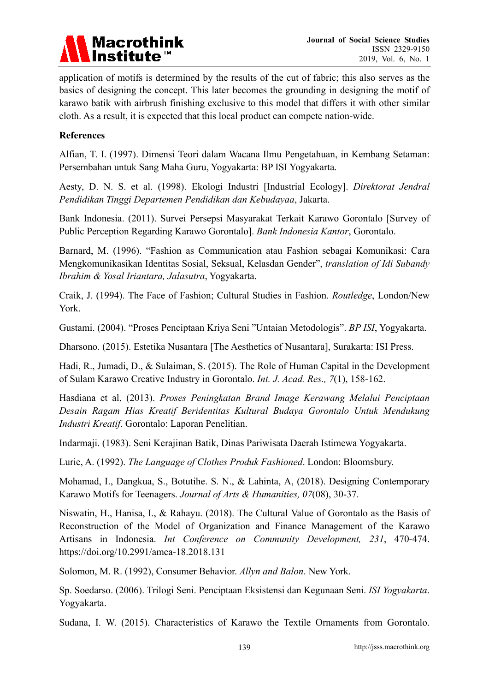

application of motifs is determined by the results of the cut of fabric; this also serves as the basics of designing the concept. This later becomes the grounding in designing the motif of karawo batik with airbrush finishing exclusive to this model that differs it with other similar cloth. As a result, it is expected that this local product can compete nation-wide.

# **References**

Alfian, T. I. (1997). Dimensi Teori dalam Wacana Ilmu Pengetahuan, in Kembang Setaman: Persembahan untuk Sang Maha Guru, Yogyakarta: BP ISI Yogyakarta.

Aesty, D. N. S. et al. (1998). Ekologi Industri [Industrial Ecology]. *Direktorat Jendral Pendidikan Tinggi Departemen Pendidikan dan Kebudayaa*, Jakarta.

Bank Indonesia. (2011). Survei Persepsi Masyarakat Terkait Karawo Gorontalo [Survey of Public Perception Regarding Karawo Gorontalo]. *Bank Indonesia Kantor*, Gorontalo.

Barnard, M. (1996). "Fashion as Communication atau Fashion sebagai Komunikasi: Cara Mengkomunikasikan Identitas Sosial, Seksual, Kelasdan Gender", *translation of Idi Subandy Ibrahim & Yosal Iriantara, Jalasutra*, Yogyakarta.

Craik, J. (1994). The Face of Fashion; Cultural Studies in Fashion. *Routledge*, London/New York.

Gustami. (2004). "Proses Penciptaan Kriya Seni "Untaian Metodologis". *BP ISI*, Yogyakarta.

Dharsono. (2015). Estetika Nusantara [The Aesthetics of Nusantara], Surakarta: ISI Press.

Hadi, R., Jumadi, D., & Sulaiman, S. (2015). The Role of Human Capital in the Development of Sulam Karawo Creative Industry in Gorontalo. *Int. J. Acad. Res., 7*(1), 158-162.

Hasdiana et al, (2013). *Proses Peningkatan Brand Image Kerawang Melalui Penciptaan Desain Ragam Hias Kreatif Beridentitas Kultural Budaya Gorontalo Untuk Mendukung Industri Kreatif*. Gorontalo: Laporan Penelitian.

Indarmaji. (1983). Seni Kerajinan Batik, Dinas Pariwisata Daerah Istimewa Yogyakarta.

Lurie, A. (1992). *The Language of Clothes Produk Fashioned*. London: Bloomsbury.

Mohamad, I., Dangkua, S., Botutihe. S. N., & Lahinta, A, (2018). Designing Contemporary Karawo Motifs for Teenagers. *Journal of Arts & Humanities, 07*(08), 30-37.

Niswatin, H., Hanisa, I., & Rahayu. (2018). The Cultural Value of Gorontalo as the Basis of Reconstruction of the Model of Organization and Finance Management of the Karawo Artisans in Indonesia. *Int Conference on Community Development, 231*, 470-474. https://doi.org/10.2991/amca-18.2018.131

Solomon, M. R. (1992), Consumer Behavior. *Allyn and Balon*. New York.

Sp. Soedarso. (2006). Trilogi Seni. Penciptaan Eksistensi dan Kegunaan Seni. *ISI Yogyakarta*. Yogyakarta.

Sudana, I. W. (2015). Characteristics of Karawo the Textile Ornaments from Gorontalo.